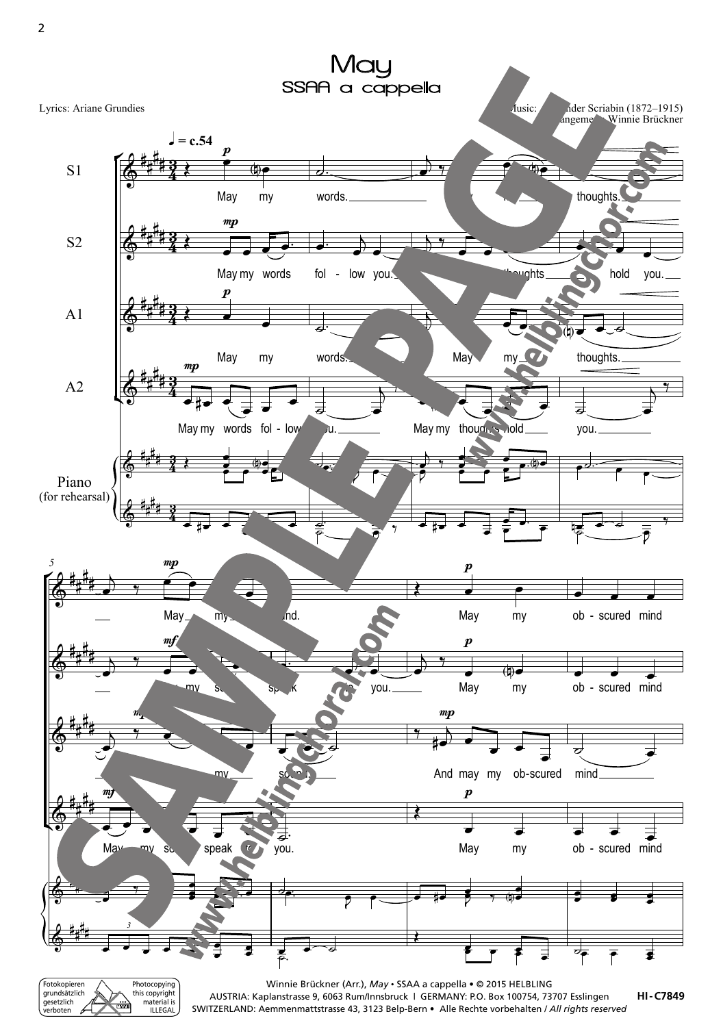

Fotokopieren grundsätzlich gesetzlich verboten Photocopying this copyright material is ILLEGAL

**HI-C7849** Winnie Brückner (Arr.), *May* · SSAA a cappella · © 2015 HELBLING Austria: Kaplanstrasse 9, 6063 Rum/Innsbruck | GERMANY: P.O. Box 100754, 73707 Esslingen SWITZERLAND: Aemmenmattstrasse 43, 3123 Belp-Bern • Alle Rechte vorbehalten / *All rights reserved*

2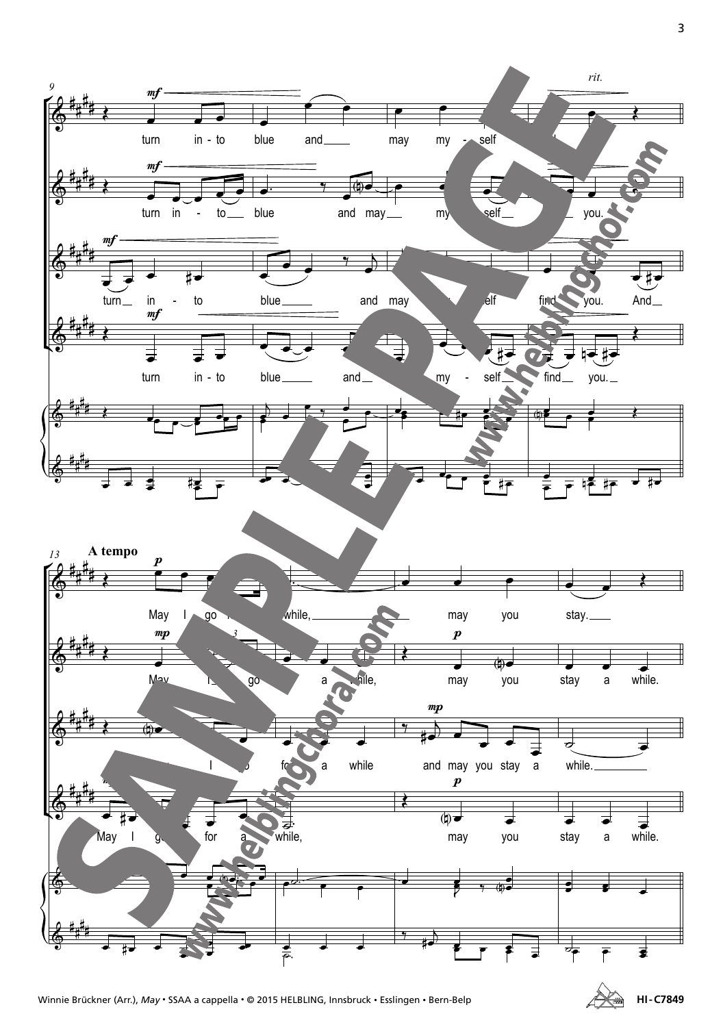

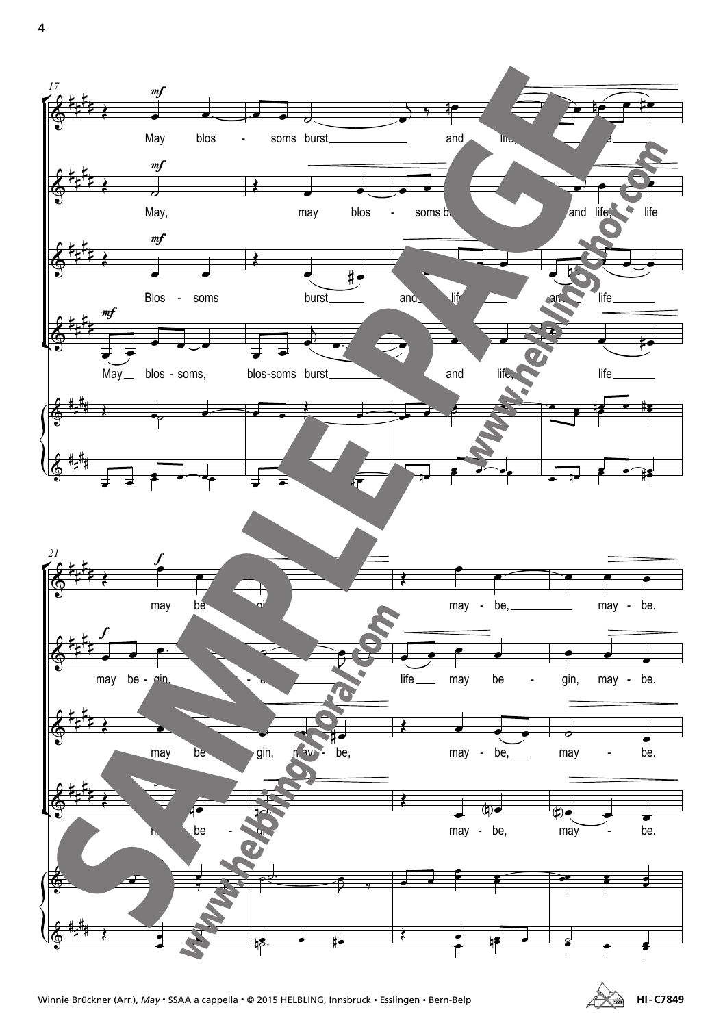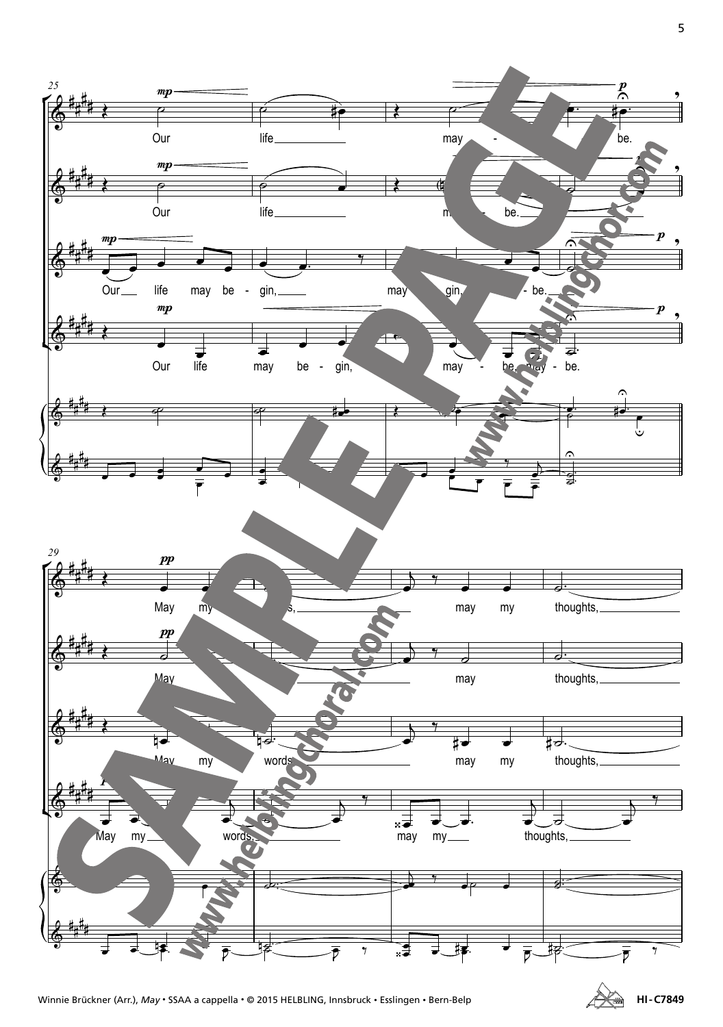

5